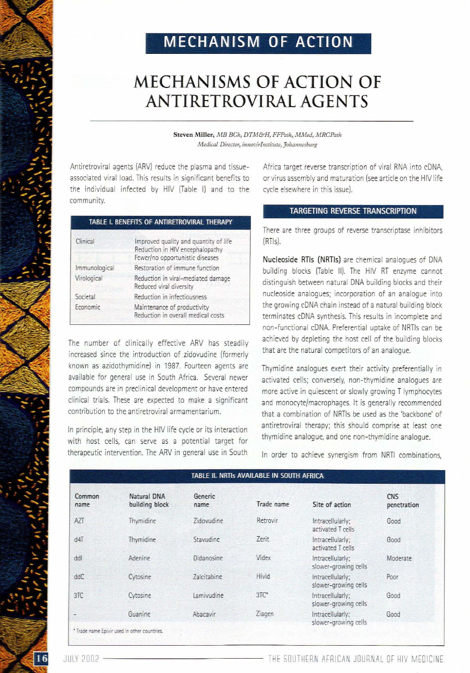## **MECHANISM OF ACTION**

# **MECHANISMS OF ACTION OF ANTIRETROVlRAL AGENTS**

**Steven Miller, !vIB Bell, DTM&H,** *FFPalh, MJ'vled, MRCPath*  $Medical$  *Director, innovirInstitute, Johannesburg* 

Antiretroviral agents (ARV) reduce the plasma and tissueassociated viral load. This results in significant benefits to the individual infected by HIV (Table I) and to the community.

| TABLE I. BENEFITS OF ANTIRETROVIRAL THERAPY. |  |  |  |
|----------------------------------------------|--|--|--|
|----------------------------------------------|--|--|--|

| Clinical      | Improved quality and quantity of life<br>Reduction in HIV encephalopathy<br>Fewer/no opportunistic diseases |  |
|---------------|-------------------------------------------------------------------------------------------------------------|--|
| Immunological | Restoration of immune function                                                                              |  |
| Virological   | Reduction in viral-mediated damage<br>Reduced viral diversity                                               |  |
| Societal      | Reduction in infectiousness                                                                                 |  |
| Economic      | Maintenance of productivity<br>Reduction in overall medical costs                                           |  |

The number of clinically effective ARV has steadily increased since the introduction of zidovudine (formerly known as azidothymidine) in 1987. Fourteen agents are available for general use in South Africa. Several newer compounds are in preclinical development or have entered clinical trials. These are expected to make a significant contribution to the antiretroviral armamentarium.

In principle, any step in the HIV life cycle or its interaction with host cells, can serve as a potential target for therapeutic intervention. The ARV in general use in South

Africa target reverse transcription of viral RNA into cDNA, or virus assembly and maturation (see article on the HIV life cycle elsewhere in this issue).

## TARGETING REVERSE TRANSCRIPTION

There are three groups of reverse transcriptase inhibitors  $(RT|s)$ .

Nucleoside RTls (NRTls) are chemical analogues of DNA building blocks (Table 11). The HIV RT enzyme cannot distinguish between natural DNA building blocks and their nucleoside analogues; incorporation of an analogue into the growing cDNA chain instead of a natural building block terminates cDNA synthesis. This results in incomplete and non-functional cDNA. Preferential uptake of NRTls can be achieved by depleting the host cell of the building blocks that are the natural competitors of an analogue.

Thymidine analogues exert their activity preferentially in activated cells; conversely, non-thymidine analogues are more active in quiescent or slowly growing T lymphocytes and monocyte/macrophages. It is generally recommended that a combination of NRTls be used as the 'backbone' of antiretroviral therapy; this should comprise at least one thymidine analogue, and one non-thymidine analogue.

In order to achieve synergism from NRTI combinations,

| TABLE II. NRTIs AVAILABLE IN SOUTH AFRICA |                                                         |                    |            |                                          |                           |  |
|-------------------------------------------|---------------------------------------------------------|--------------------|------------|------------------------------------------|---------------------------|--|
| Common<br>name                            | Natural DNA<br>building block                           | Generic<br>name    | Trade name | Site of action                           | <b>CNS</b><br>penetration |  |
| AZT                                       | Thymidine                                               | Zidovudine         | Retrovir   | Intracellularly;<br>activated T cells    | Good                      |  |
| $d4\overline{1}$                          | Thymidine                                               | Stavudine          | Zerit      | Intracellularly;<br>activated T cells    | Good                      |  |
| ddl                                       | Adenine                                                 | Didanosine         | Videx      | Intracellularly;<br>slower-growing cells | Moderate                  |  |
| ddC                                       | Cytosine                                                | <b>Zalcitabine</b> | Hivid      | Intracellularly;<br>slower-growing cells | Poor                      |  |
| 3TC                                       | Cytosine                                                | Lamivudine         | 3TC        | Intracellularly;<br>slower-growing cells | Good                      |  |
|                                           | Guanine<br>* Trade name Epivir used in other countries. | Abacavir           | Ziagen     | Intracellularly;<br>slower-growing cells | Good                      |  |

 $16$